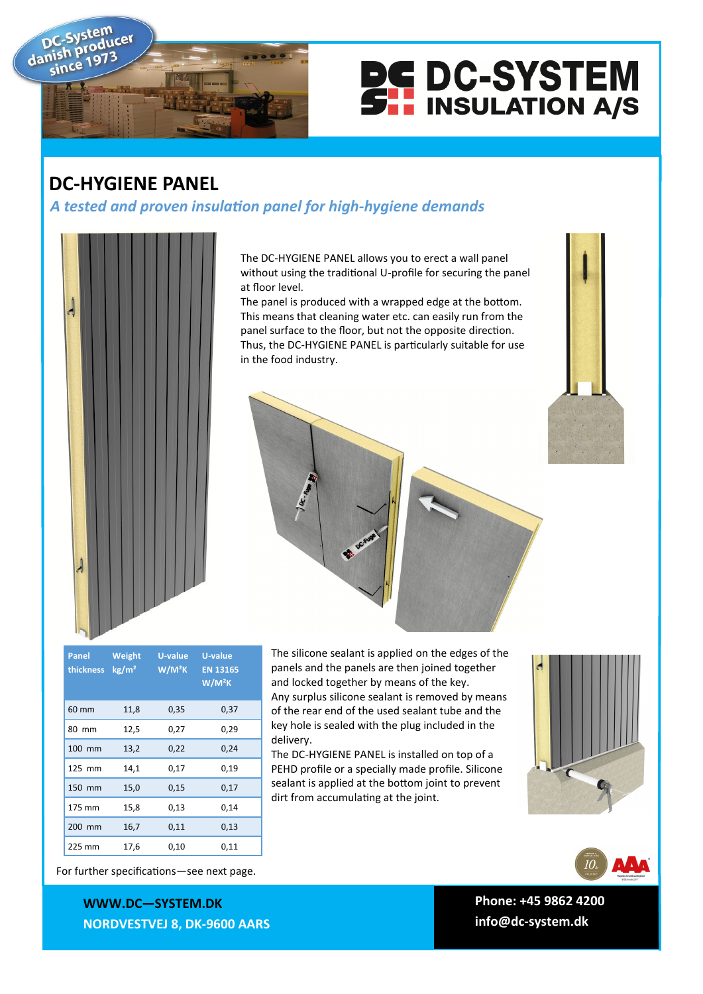



## **DC-HYGIENE PANEL**

*A tested and proven insulation panel for high-hygiene demands*



The DC-HYGIENE PANEL allows you to erect a wall panel without using the traditional U-profile for securing the panel at floor level.

The panel is produced with a wrapped edge at the bottom. This means that cleaning water etc. can easily run from the panel surface to the floor, but not the opposite direction. Thus, the DC-HYGIENE PANEL is particularly suitable for use in the food industry.



| Panel<br><b>thickness</b> | Weight<br>kg/m <sup>2</sup> | U-value<br>W/M <sup>2</sup> K | <b>U-value</b><br><b>EN 13165</b><br>W/M <sup>2</sup> K |
|---------------------------|-----------------------------|-------------------------------|---------------------------------------------------------|
| 60 mm                     | 11,8                        | 0,35                          | 0,37                                                    |
| 80 mm                     | 12,5                        | 0,27                          | 0,29                                                    |
| 100 mm                    | 13,2                        | 0,22                          | 0,24                                                    |
| 125 mm                    | 14,1                        | 0,17                          | 0,19                                                    |
| 150 mm                    | 15,0                        | 0,15                          | 0,17                                                    |
| 175 mm                    | 15,8                        | 0,13                          | 0,14                                                    |
| 200 mm                    | 16,7                        | 0,11                          | 0,13                                                    |
| 225 mm                    | 17,6                        | 0,10                          | 0,11                                                    |

The silicone sealant is applied on the edges of the panels and the panels are then joined together and locked together by means of the key. Any surplus silicone sealant is removed by means of the rear end of the used sealant tube and the key hole is sealed with the plug included in the delivery.

The DC-HYGIENE PANEL is installed on top of a PEHD profile or a specially made profile. Silicone sealant is applied at the bottom joint to prevent dirt from accumulating at the joint.





For further specifications—see next page.

**WWWW.DC—SYSTEM.DK WWW.DC—SYSTEM.DK NORDVESTVEJ 8, 9600 AARS NORDVESTVEJ 8, DK-9600 AARS**

**TLF: +45 9862 4200 Phone: +45 9862 4200 E-MAIL: DC-SYSTEM@DC-SYSTEM.DK info@dc-system.dk**